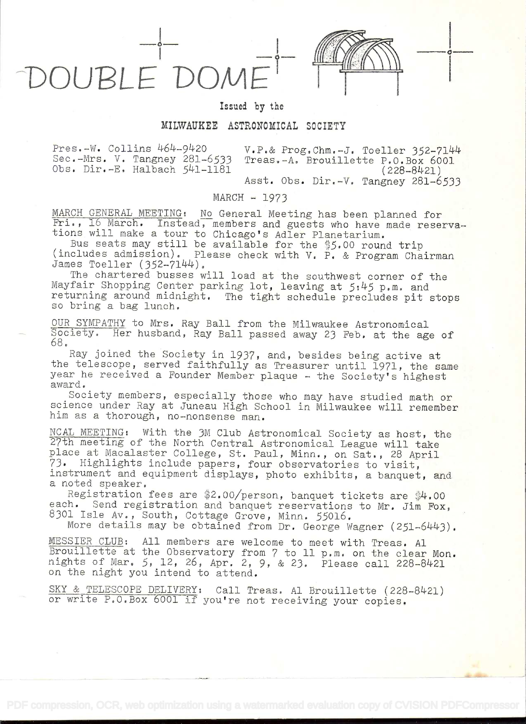IURI F



**o** <u>sure that</u>

## Issued by the

## MILWAUKEE A\$TRONOMICAL SOCIETY

Pres.-W. Collins 464-9420 v.P.& Prog.Chm.-J. Toeller 352-7144<br>Sec.-Mrs. V. Tangney 281-6533 Treas.-A. Brouillette P.O.Box 6001  $Treas.-A. Brouillette P.0.Box 6001  
(228-8421)$ Obs. Dir.-E. Halbach 541-1181

Asst. Obs. Dir.-V. Tangney 281-6533

 $MARCH - 1973$ 

MARCH GENERAL MEETING: No General Meeting has been planned for Fri., 16 March. Instead, members and guests who have made reservatians will make a tour to Chicago's Adler Planetarium.

Bus seats may still be available for the  $$5.00$  round trip (includes admission). Please check with V. P. & Program Chairman James Toeller (352-714k).

The chartered busses will load at the southwest corner of the Mayfair Shopping Center parking lot, leaving at 5:45 p.m. and returning around midnight. The tight schedule precludes pit stops so bring a bag lunch.

OUR SYMPATHY to Mrs. Ray Ball from the Milwaukee Astronomical Society. Her husband, Ray Ball passed away 23 Feb. at the age of 68.

Ray joined the Society in 1937, and, besides being active at the telescope, served faithfully as Treasurer until 1971, the same year he received a Founder Member plaque - the Society's highest award.

Society members, especially those who may have studied math or science under Ray at Juneau High School in Milwaukee will remember him as a thorough, no-nonsense man.

NCAL MEETING: With the 3M Club Astronomical Society as host, the 27th meeting of the North Central Astronomical League will take place at Macalaster College, St. Paul, Minn., on Sat., 28 April 73. Highlights include papers, four observatories to visit, instrument and equipment displays, photo exhibits, a banquet, and a noted speaker.

Registration fees are \$2.00/person, banquet tickets are  $*4.00$ each. Send registration and banquet reservations to Mr. Jim Fox, 8301 Isle Av., South, Cottage Grove, Minn. 55016.

More details may be obtained from Dr. George Wagner (251-6443).

MESSIER CLUB: All members are welcome to meet with Treas. Al Brouillette at the Observatory from 7 to li p.m. on the clear Mon. nights of Mar. 5, 12, 26, Apr. 2, 9, & 23. Please call 228-8421 on the night you intend to attend.

SKY & TELESCOPE DELIVERY: Call Treas. Al Brouillette (228-8421) or write P.O.Box 6001 if you're not receiving your copies.